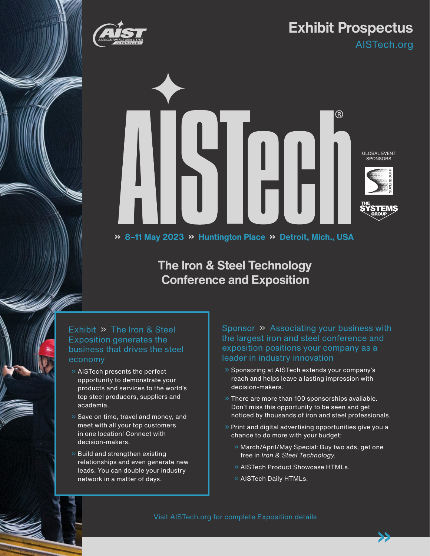

# **Exhibit Prospectus**

AISTech.org



# **The Iron & Steel Technology Conference and Exposition**

Exhibit » The Iron & Steel Exposition generates the business that drives the steel economy

- » AISTech presents the perfect opportunity to demonstrate your products and services to the world's top steel producers, suppliers and academia.
- » Save on time, travel and money, and meet with all your top customers in one location! Connect with decision-makers.
- » Build and strengthen existing relationships and even generate new leads. You can double your industry network in a matter of days.

Sponsor » Associating your business with the largest iron and steel conference and exposition positions your company as a leader in industry innovation

- » Sponsoring at AISTech extends your company's reach and helps leave a lasting impression with decision-makers.
- $\gg$  There are more than 100 sponsorships available. Don't miss this opportunity to be seen and get noticed by thousands of iron and steel professionals.
- » Print and digital advertising opportunities give you a chance to do more with your budget:
	- » March/April/May Special: Buy two ads, get one free in *Iron & Steel Technology*.

»

- » AISTech Product Showcase HTMLs.
- » AISTech Daily HTMLs.

Visit AISTech.org for complete Exposition details